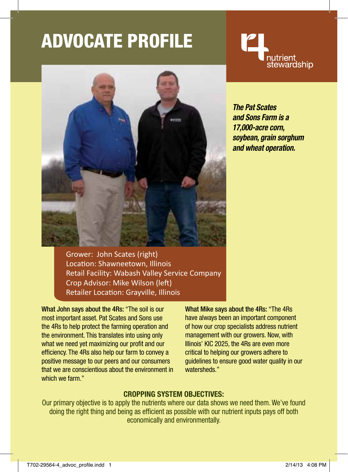# ADVocate Profile



nutrient<br>stewardship

*The Pat Scates and Sons Farm is a 17,000-acre corn, soybean, grain sorghum and wheat operation.*

Grower: John Scates (right) Location: Shawneetown, Illinois Retail Facility: Wabash Valley Service Company Crop Advisor: Mike Wilson (left) Retailer Location: Grayville, Illinois

What John says about the 4Rs: "The soil is our most important asset. Pat Scates and Sons use the 4Rs to help protect the farming operation and the environment. This translates into using only what we need yet maximizing our profit and our efficiency. The 4Rs also help our farm to convey a positive message to our peers and our consumers that we are conscientious about the environment in which we farm."

What Mike says about the 4Rs: "The 4Rs have always been an important component of how our crop specialists address nutrient management with our growers. Now, with Illinois' KIC 2025, the 4Rs are even more critical to helping our growers adhere to guidelines to ensure good water quality in our watersheds."

## **Cropping System Objectives:**

Our primary objective is to apply the nutrients where our data shows we need them. We've found doing the right thing and being as efficient as possible with our nutrient inputs pays off both economically and environmentally.